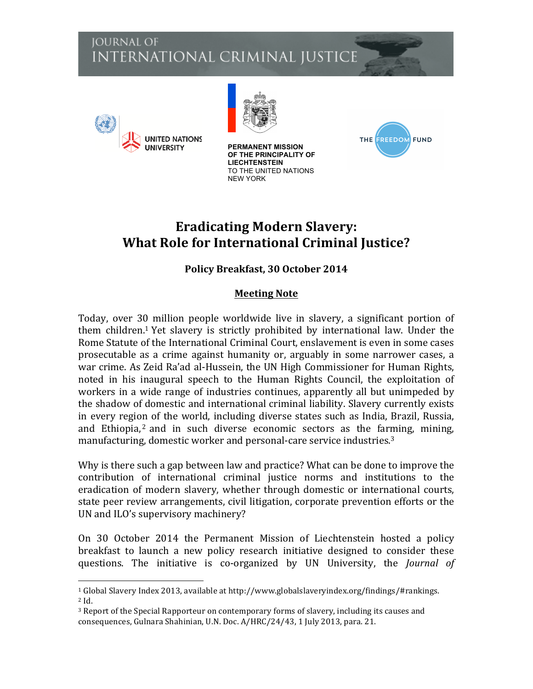## **JOURNAL OF** INTERNATIONAL CRIMINAL JUSTICE



 



**PERMANENT MISSION OF THE PRINCIPALITY OF LIECHTENSTEIN** TO THE UNITED NATIONS NEW YORK



# **Eradicating Modern Slavery: What Role for International Criminal Justice?**

### **Policy Breakfast, 30 October 2014**

#### **Meeting Note**

Today, over 30 million people worldwide live in slavery, a significant portion of them children.<sup>1</sup> Yet slavery is strictly prohibited by international law. Under the Rome Statute of the International Criminal Court, enslavement is even in some cases prosecutable as a crime against humanity or, arguably in some narrower cases, a war crime. As Zeid Ra'ad al-Hussein, the UN High Commissioner for Human Rights, noted in his inaugural speech to the Human Rights Council, the exploitation of workers in a wide range of industries continues, apparently all but unimpeded by the shadow of domestic and international criminal liability. Slavery currently exists in every region of the world, including diverse states such as India, Brazil, Russia, and Ethiopia,<sup>2</sup> and in such diverse economic sectors as the farming, mining, manufacturing, domestic worker and personal-care service industries. $3$ 

Why is there such a gap between law and practice? What can be done to improve the contribution of international criminal justice norms and institutions to the eradication of modern slavery, whether through domestic or international courts, state peer review arrangements, civil litigation, corporate prevention efforts or the UN and ILO's supervisory machinery?

On 30 October 2014 the Permanent Mission of Liechtenstein hosted a policy breakfast to launch a new policy research initiative designed to consider these questions. The initiative is co-organized by UN University, the *Journal of* 

 $1$  Global Slavery Index 2013, available at http://www.globalslaveryindex.org/findings/#rankings. <sup>2</sup> Id.

 $3$  Report of the Special Rapporteur on contemporary forms of slavery, including its causes and consequences, Gulnara Shahinian, U.N. Doc. A/HRC/24/43, 1 July 2013, para. 21.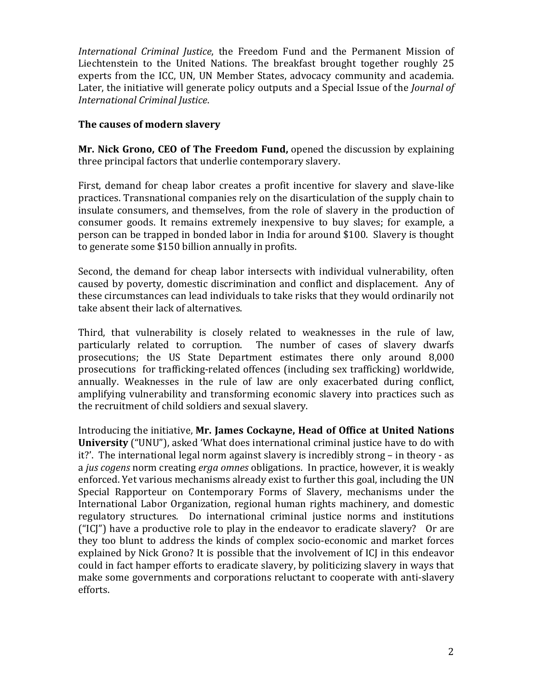*International Criminal Justice*, the Freedom Fund and the Permanent Mission of Liechtenstein to the United Nations. The breakfast brought together roughly 25 experts from the ICC, UN, UN Member States, advocacy community and academia. Later, the initiative will generate policy outputs and a Special Issue of the *Journal of International Criminal Justice*.

#### The causes of modern slavery

**Mr. Nick Grono, CEO of The Freedom Fund, opened the discussion by explaining** three principal factors that underlie contemporary slavery.

First, demand for cheap labor creates a profit incentive for slavery and slave-like practices. Transnational companies rely on the disarticulation of the supply chain to insulate consumers, and themselves, from the role of slavery in the production of consumer goods. It remains extremely inexpensive to buy slaves; for example, a person can be trapped in bonded labor in India for around \$100. Slavery is thought to generate some \$150 billion annually in profits.

Second, the demand for cheap labor intersects with individual vulnerability, often caused by poverty, domestic discrimination and conflict and displacement. Any of these circumstances can lead individuals to take risks that they would ordinarily not take absent their lack of alternatives.

Third, that vulnerability is closely related to weaknesses in the rule of law, particularly related to corruption. The number of cases of slavery dwarfs prosecutions; the US State Department estimates there only around 8,000 prosecutions for trafficking-related offences (including sex trafficking) worldwide, annually. Weaknesses in the rule of law are only exacerbated during conflict, amplifying vulnerability and transforming economic slavery into practices such as the recruitment of child soldiers and sexual slavery.

Introducing the initiative, Mr. James Cockayne, Head of Office at United Nations **University** ("UNU"), asked 'What does international criminal justice have to do with it?'. The international legal norm against slavery is incredibly strong – in theory - as a *jus cogens* norm creating *erga omnes* obligations. In practice, however, it is weakly enforced. Yet various mechanisms already exist to further this goal, including the UN Special Rapporteur on Contemporary Forms of Slavery, mechanisms under the International Labor Organization, regional human rights machinery, and domestic regulatory structures. Do international criminal justice norms and institutions  $("ICI")$  have a productive role to play in the endeavor to eradicate slavery? Or are they too blunt to address the kinds of complex socio-economic and market forces explained by Nick Grono? It is possible that the involvement of ICJ in this endeavor could in fact hamper efforts to eradicate slavery, by politicizing slavery in ways that make some governments and corporations reluctant to cooperate with anti-slavery efforts.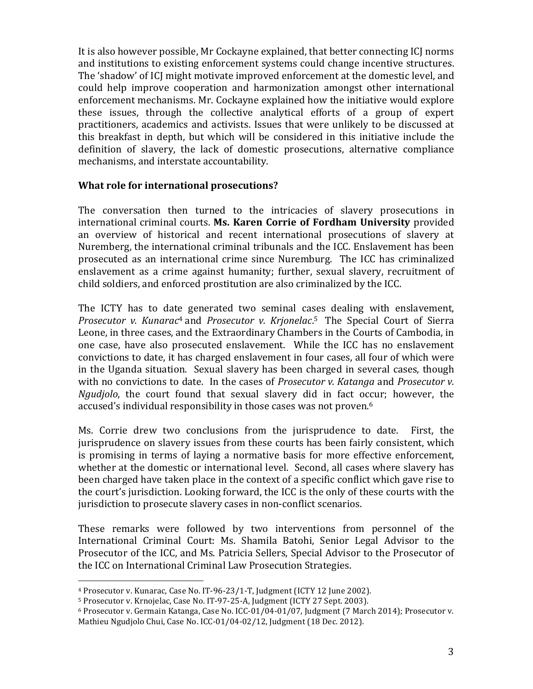It is also however possible, Mr Cockayne explained, that better connecting ICJ norms and institutions to existing enforcement systems could change incentive structures. The 'shadow' of ICJ might motivate improved enforcement at the domestic level, and could help improve cooperation and harmonization amongst other international enforcement mechanisms. Mr. Cockayne explained how the initiative would explore these issues, through the collective analytical efforts of a group of expert practitioners, academics and activists. Issues that were unlikely to be discussed at this breakfast in depth, but which will be considered in this initiative include the definition of slavery, the lack of domestic prosecutions, alternative compliance mechanisms, and interstate accountability.

#### **What role for international prosecutions?**

The conversation then turned to the intricacies of slavery prosecutions in international criminal courts. Ms. Karen Corrie of Fordham University provided an overview of historical and recent international prosecutions of slavery at Nuremberg, the international criminal tribunals and the ICC. Enslavement has been prosecuted as an international crime since Nuremburg. The ICC has criminalized enslavement as a crime against humanity; further, sexual slavery, recruitment of child soldiers, and enforced prostitution are also criminalized by the ICC.

The ICTY has to date generated two seminal cases dealing with enslavement, *Prosecutor* v. *Kunarac<sup>4</sup>* and *Prosecutor v. Krjonelac.*<sup>5</sup> The Special Court of Sierra Leone, in three cases, and the Extraordinary Chambers in the Courts of Cambodia, in one case, have also prosecuted enslavement. While the ICC has no enslavement convictions to date, it has charged enslavement in four cases, all four of which were in the Uganda situation. Sexual slavery has been charged in several cases, though with no convictions to date. In the cases of *Prosecutor v. Katanga* and *Prosecutor v. Ngudjolo*, the court found that sexual slavery did in fact occur; however, the accused's individual responsibility in those cases was not proven.<sup>6</sup>

Ms. Corrie drew two conclusions from the jurisprudence to date. First, the jurisprudence on slavery issues from these courts has been fairly consistent, which is promising in terms of laying a normative basis for more effective enforcement, whether at the domestic or international level. Second, all cases where slavery has been charged have taken place in the context of a specific conflict which gave rise to the court's jurisdiction. Looking forward, the ICC is the only of these courts with the jurisdiction to prosecute slavery cases in non-conflict scenarios.

These remarks were followed by two interventions from personnel of the International Criminal Court: Ms. Shamila Batohi, Senior Legal Advisor to the Prosecutor of the ICC, and Ms. Patricia Sellers, Special Advisor to the Prosecutor of the ICC on International Criminal Law Prosecution Strategies.

 

<sup>&</sup>lt;sup>4</sup> Prosecutor v. Kunarac, Case No. IT-96-23/1-T, Judgment (ICTY 12 June 2002).

<sup>&</sup>lt;sup>5</sup> Prosecutor v. Krnojelac, Case No. IT-97-25-A, Judgment (ICTY 27 Sept. 2003).

 $6$  Prosecutor v. Germain Katanga, Case No. ICC-01/04-01/07, Judgment (7 March 2014); Prosecutor v. Mathieu Ngudjolo Chui, Case No. ICC-01/04-02/12, Judgment (18 Dec. 2012).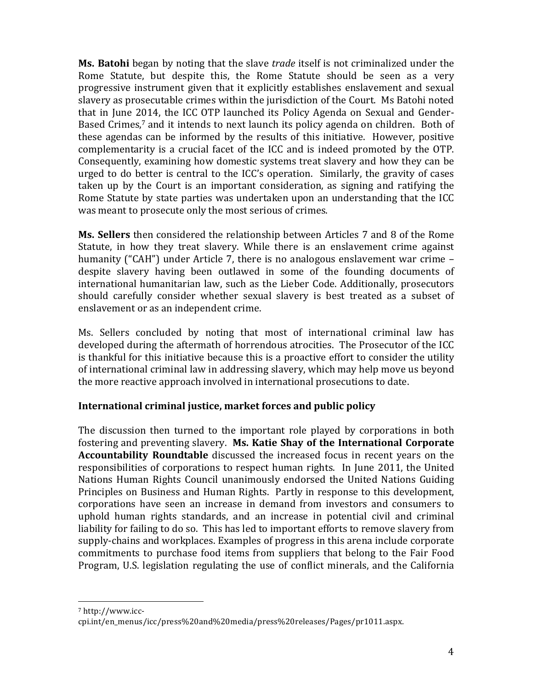**Ms. Batohi** began by noting that the slave *trade* itself is not criminalized under the Rome Statute, but despite this, the Rome Statute should be seen as a very progressive instrument given that it explicitly establishes enslavement and sexual slavery as prosecutable crimes within the jurisdiction of the Court. Ms Batohi noted that in June 2014, the ICC OTP launched its Policy Agenda on Sexual and Gender-Based Crimes, $7$  and it intends to next launch its policy agenda on children. Both of these agendas can be informed by the results of this initiative. However, positive complementarity is a crucial facet of the ICC and is indeed promoted by the OTP. Consequently, examining how domestic systems treat slavery and how they can be urged to do better is central to the ICC's operation. Similarly, the gravity of cases taken up by the Court is an important consideration, as signing and ratifying the Rome Statute by state parties was undertaken upon an understanding that the ICC was meant to prosecute only the most serious of crimes.

**Ms. Sellers** then considered the relationship between Articles 7 and 8 of the Rome Statute, in how they treat slavery. While there is an enslavement crime against humanity ("CAH") under Article 7, there is no analogous enslavement war crime – despite slavery having been outlawed in some of the founding documents of international humanitarian law, such as the Lieber Code. Additionally, prosecutors should carefully consider whether sexual slavery is best treated as a subset of enslavement or as an independent crime.

Ms. Sellers concluded by noting that most of international criminal law has developed during the aftermath of horrendous atrocities. The Prosecutor of the ICC is thankful for this initiative because this is a proactive effort to consider the utility of international criminal law in addressing slavery, which may help move us beyond the more reactive approach involved in international prosecutions to date.

#### **International criminal justice, market forces and public policy**

The discussion then turned to the important role played by corporations in both fostering and preventing slavery. Ms. Katie Shay of the International Corporate **Accountability Roundtable** discussed the increased focus in recent years on the responsibilities of corporations to respect human rights. In June 2011, the United Nations Human Rights Council unanimously endorsed the United Nations Guiding Principles on Business and Human Rights. Partly in response to this development, corporations have seen an increase in demand from investors and consumers to uphold human rights standards, and an increase in potential civil and criminal liability for failing to do so. This has led to important efforts to remove slavery from supply-chains and workplaces. Examples of progress in this arena include corporate commitments to purchase food items from suppliers that belong to the Fair Food Program, U.S. legislation regulating the use of conflict minerals, and the California

 <sup>7</sup> http://www.icc-

cpi.int/en\_menus/icc/press%20and%20media/press%20releases/Pages/pr1011.aspx.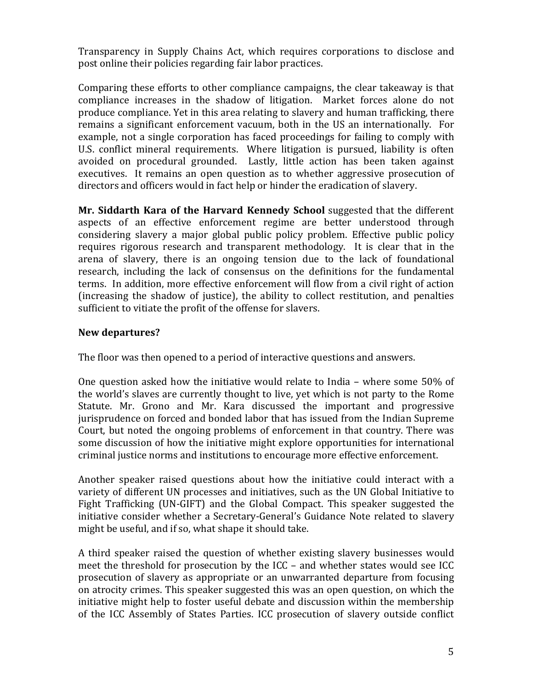Transparency in Supply Chains Act, which requires corporations to disclose and post online their policies regarding fair labor practices.

Comparing these efforts to other compliance campaigns, the clear takeaway is that compliance increases in the shadow of litigation. Market forces alone do not produce compliance. Yet in this area relating to slavery and human trafficking, there remains a significant enforcement vacuum, both in the US an internationally. For example, not a single corporation has faced proceedings for failing to comply with U.S. conflict mineral requirements. Where litigation is pursued, liability is often avoided on procedural grounded. Lastly, little action has been taken against executives. It remains an open question as to whether aggressive prosecution of directors and officers would in fact help or hinder the eradication of slavery.

**Mr. Siddarth Kara of the Harvard Kennedy School** suggested that the different aspects of an effective enforcement regime are better understood through considering slavery a major global public policy problem. Effective public policy requires rigorous research and transparent methodology. It is clear that in the arena of slavery, there is an ongoing tension due to the lack of foundational research, including the lack of consensus on the definitions for the fundamental terms. In addition, more effective enforcement will flow from a civil right of action (increasing the shadow of justice), the ability to collect restitution, and penalties sufficient to vitiate the profit of the offense for slavers.

#### **New departures?**

The floor was then opened to a period of interactive questions and answers.

One question asked how the initiative would relate to India – where some  $50\%$  of the world's slaves are currently thought to live, yet which is not party to the Rome Statute. Mr. Grono and Mr. Kara discussed the important and progressive jurisprudence on forced and bonded labor that has issued from the Indian Supreme Court, but noted the ongoing problems of enforcement in that country. There was some discussion of how the initiative might explore opportunities for international criminal justice norms and institutions to encourage more effective enforcement.

Another speaker raised questions about how the initiative could interact with a variety of different UN processes and initiatives, such as the UN Global Initiative to Fight Trafficking (UN-GIFT) and the Global Compact. This speaker suggested the initiative consider whether a Secretary-General's Guidance Note related to slavery might be useful, and if so, what shape it should take.

A third speaker raised the question of whether existing slavery businesses would meet the threshold for prosecution by the ICC – and whether states would see ICC prosecution of slavery as appropriate or an unwarranted departure from focusing on atrocity crimes. This speaker suggested this was an open question, on which the initiative might help to foster useful debate and discussion within the membership of the ICC Assembly of States Parties. ICC prosecution of slavery outside conflict